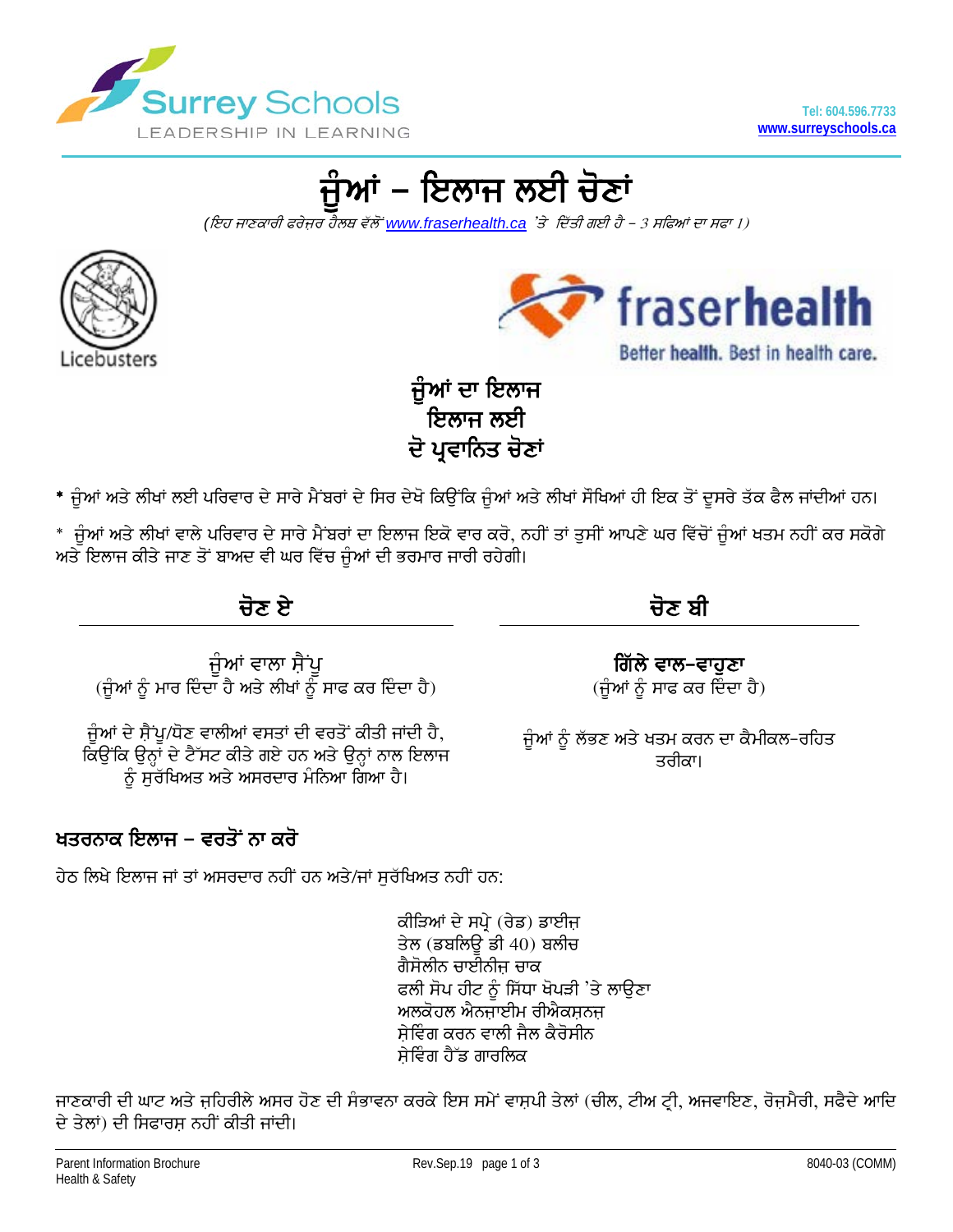

ਜੁੰਆਂ – ਇਲਾਜ ਲਈ ਚੋਣਾਂ

(ਇਹ ਜਾਣਕਾਰੀ ਫਰੇਜ਼ਰ ਹੈਲਥ ਵੱਲੋਂ www.fraserhealth.ca 'ਤੇ ਦਿੱਤੀ ਗਈ ਹੈ – 3 ਸਫਿਆਂ ਦਾ ਸਫਾ 1)





Better health. Best in health care.

ਜੁੰਆਂ ਦਾ ਇਲਾਜ ਇਲਾਜ ਲਈ ਦੋ ਪ੍ਰਵਾਨਿਤ ਚੋਣਾਂ

\* ਜੁੰਆਂ ਅਤੇ ਲੀਖਾਂ ਲਈ ਪਰਿਵਾਰ ਦੇ ਸਾਰੇ ਮੈਂਬਰਾਂ ਦੇ ਸਿਰ ਦੇਖੋ ਕਿਉਂਕਿ ਜੁੰਆਂ ਅਤੇ ਲੀਖਾਂ ਸੌਖਿਆਂ ਹੀ ਇਕ ਤੋਂ ਦੂਸਰੇ ਤੱਕ ਫੈਲ ਜਾਂਦੀਆਂ ਹਨ।

\* ਜੁੰਆਂ ਅਤੇ ਲੀਖਾਂ ਵਾਲੇ ਪਰਿਵਾਰ ਦੇ ਸਾਰੇ ਮੈਂਬਰਾਂ ਦਾ ਇਲਾਜ ਇਕੋ ਵਾਰ ਕਰੋ, ਨਹੀਂ ਤਾਂ ਤੁਸੀਂ ਆਪਣੇ ਘਰ ਵਿੱਚੋਂ ਜੁੰਆਂ ਖਤਮ ਨਹੀਂ ਕਰ ਸਕੋਗੇ ਅਤੇ ਇਲਾਜ ਕੀਤੇ ਜਾਣ ਤੋਂ ਬਾਅਦ ਵੀ ਘਰ ਵਿੱਚ ਜੁੰਆਂ ਦੀ ਭਰਮਾਰ ਜਾਰੀ ਰਹੇਗੀ।

ਜੋਣ ਏ

ਜੂੰਆਂ ਵਾਲਾ ਸ਼ੈਂਪੂ<br>(ਜੂੰਆਂ ਨੂੰ ਮਾਰ ਦਿੰਦਾ ਹੈ ਅਤੇ ਲੀਖਾਂ ਨੂੰ ਸਾਫ ਕਰ ਦਿੰਦਾ ਹੈ)

ਜੁੰਆਂ ਦੇ ਸ਼ੈਂਪੁ/ਧੋਣ ਵਾਲੀਆਂ ਵਸਤਾਂ ਦੀ ਵਰਤੋਂ ਕੀਤੀ ਜਾਂਦੀ ਹੈ, ਕਿਉਂਕਿ ਉਨ੍ਹਾਂ ਦੇ ਟੈੱਸਟ ਕੀਤੇ ਗਏ ਹਨ ਅਤੇ ਉਨ੍ਹਾਂ ਨਾਲ ਇਲਾਜ ਨੂੰ ਸੁੱਚੱਖਿਅਤ ਅਤੇ ਅਸਰਦਾਰ ਮੰਨਿਆ ਗਿਆ ਹੈ।

# ਖਤਰਨਾਕ ਇਲਾਜ – ਵਰਤੋਂ ਨਾ ਕਰੋ

ਹੇਠ ਲਿਖੇ ਇਲਾਜ ਜਾਂ ਤਾਂ ਅਸਰਦਾਰ ਨਹੀਂ ਹਨ ਅਤੇ/ਜਾਂ ਸਰੱਖਿਅਤ ਨਹੀਂ ਹਨ:

ਕੀੜਿਆਂ ਦੇ ਸਪ੍ਰੇ (ਰੇਡ) ਡਾਈਜ਼ ਤੇਲ (ਡਬਲਿਊ ਡੀ 40) ਬਲੀਚ ਗੈਸੋਲੀਨ ਚਾਈਨੀਜ਼ ਚਾਕ ਫਲੀ ਸੋਪ ਹੀਟ ਨੂੰ ਸਿੱਧਾ ਖੋਪੜੀ 'ਤੇ ਲਾਉਣਾ ਅਲਕੋਹਲ ਐਨਜਾਈਮ ਰੀਐਕਸ਼ਨਜ਼ ਸੇਵਿੰਗ ਕਰਨ ਵਾਲੀ ਜੈਲ ਕੈਰੋਸੀਨ ਸੇਵਿੰਗ ਹੈੱਡ ਗਾਰਲਿਕ

ਜਾਣਕਾਰੀ ਦੀ ਘਾਟ ਅਤੇ ਜਹਿਰੀਲੇ ਅਸਰ ਹੋਣ ਦੀ ਸੰਭਾਵਨਾ ਕਰਕੇ ਇਸ ਸਮੇਂ ਵਾਸ਼ਪੀ ਤੇਲਾਂ (ਚੀਲ, ਟੀਅ ਟ੍ਰੀ, ਅਜਵਾਇਣ, ਰੋਜ਼ਮੈਰੀ, ਸਫੈਦੇ ਆਦਿ ਦੇ ਤੇਲਾਂ) ਦੀ ਸਿਫਾਰਸ ਨਹੀਂ ਕੀਤੀ ਜਾਂਦੀ।

ਚੋਣ ਬੀ

ਗਿੱਲੇ ਵਾਲ−ਵਾਹੁਣਾ  $(\hat{H}$ ਆਂ ਨੂੰ ਸਾਫ ਕਰ ਦਿੰਦਾ ਹੈ)

ਜੁੰਆਂ ਨੂੰ ਲੱਭਣ ਅਤੇ ਖਤਮ ਕਰਨ ਦਾ ਕੈਮੀਕਲ-ਰਹਿਤ ਤਰੀਕਾ।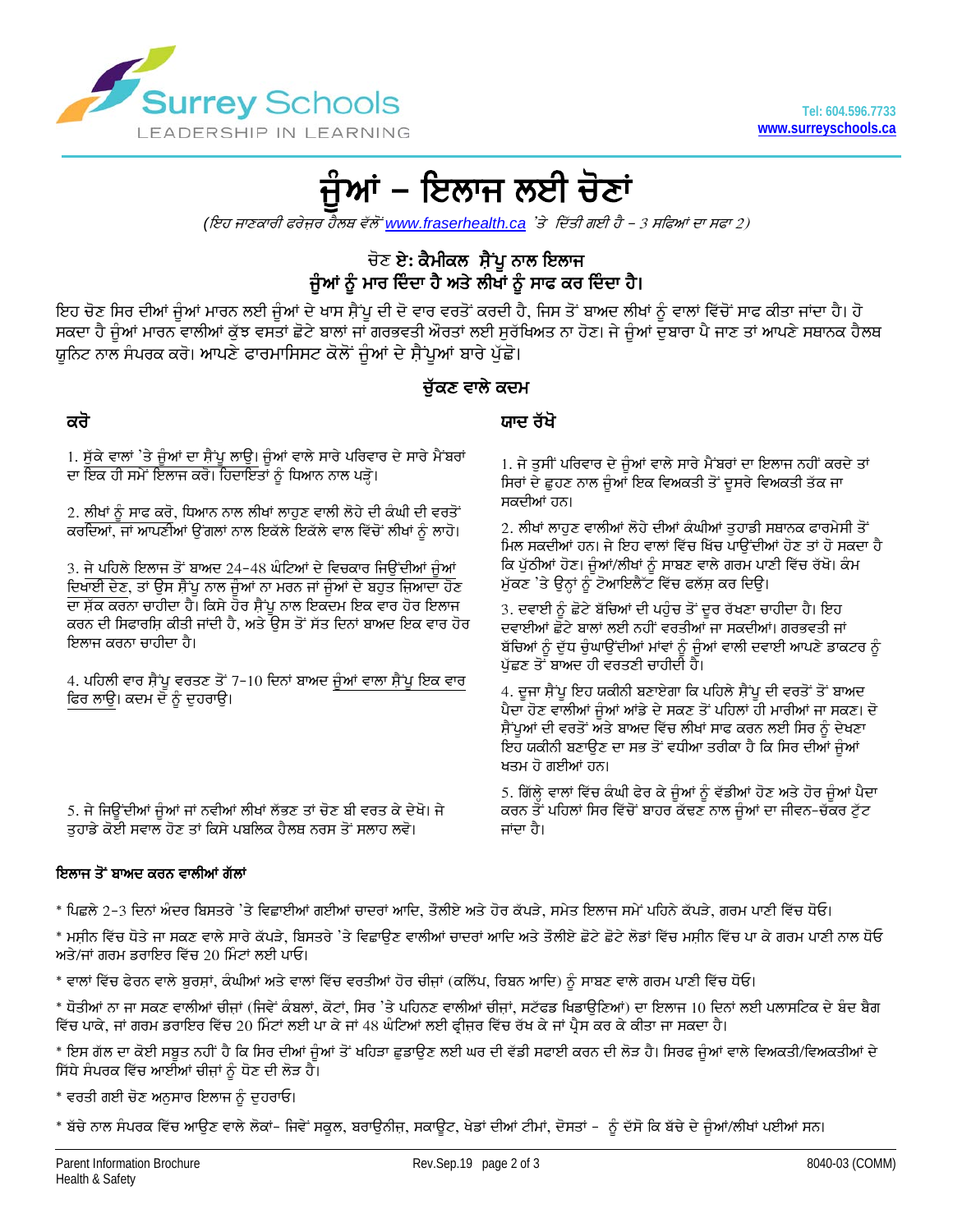

# ਜੁੰਆਂ – ਇਲਾਜ ਲਈ ਚੋਣਾਂ

(ਇਹ ਜਾਣਕਾਰੀ ਫਰੇਜ਼ਰ ਹੈਲਥ ਵੱਲੋਂ www.fraserhealth.ca 'ਤੇ ਦਿੱਤੀ ਗਈ ਹੈ – 3 ਸਫਿਆਂ ਦਾ ਸਫਾ 2)

## ਚੋਣ ਏ: ਕੈਮੀਕਲ ਸ਼ੈਂਪੁ ਨਾਲ ਇਲਾਜ ਜੁੰਆਂ ਨੂੰ ਮਾਰ ਦਿੰਦਾ ਹੈ ਅਤੇ ਲੀਖਾਂ ਨੂੰ ਸਾਫ ਕਰ ਦਿੰਦਾ ਹੈ।

ਇਹ ਚੋਣ ਸਿਰ ਦੀਆਂ ਜੁੰਆਂ ਮਾਰਨ ਲਈ ਜੁੰਆਂ ਦੇ ਖਾਸ ਸੈਂਪੂ ਦੀ ਦੋ ਵਾਰ ਵਰਤੋਂ ਕਰਦੀ ਹੈ, ਜਿਸ ਤੋਂ ਬਾਅਦ ਲੀਖਾਂ ਨੂੰ ਵਾਲਾਂ ਵਿੱਚੋਂ ਸਾਫ ਕੀਤਾ ਜਾਂਦਾ ਹੈ। ਹੋ ਸਕਦਾ ਹੈ ਜੁੰਆਂ ਮਾਰਨ ਵਾਲੀਆਂ ਕੁੱਝ ਵਸਤਾਂ ਛੋਟੇ ਬਾਲਾਂ ਜਾਂ ਗਰਭਵਤੀ ਔਰਤਾਂ ਲਈ ਸੁਰੱਖਿਅਤ ਨਾ ਹੋਣ। ਜੇ ਜੁੰਆਂ ਦੁਬਾਰਾ ਪੈ ਜਾਣ ਤਾਂ ਆਪਣੇ ਸਥਾਨਕ ਹੈਲਥ ਯੂਨਿਟ ਨਾਲ ਸੰਪਰਕ ਕਰੋ। ਆਪਣੇ ਫਾਰਮਾਸਿਸਟ ਕੋਲੋਂ ਜੁੰਆਂ ਦੇ ਸੈਂਪੂਆਂ ਬਾਰੇ ਪੁੱਛੋ।

### ਚੱਕਣ ਵਾਲੇ ਕਦਮ

## ਕਰੋ

### ਯਾਦ ਰੱਖੋ

1. ਸੁੱਕੇ ਵਾਲਾਂ 'ਤੇ ਜੁੰਆਂ ਦਾ ਸ਼ੈਂਪੁ ਲਾਉ। ਜੁੰਆਂ ਵਾਲੇ ਸਾਰੇ ਪਰਿਵਾਰ ਦੇ ਸਾਰੇ ਮੈਂਬਰਾਂ ਦਾ ਇਕ ਹੀ ਸਮੇਂ ਇਲਾਜ ਕਰੋ। ਹਿਦਾਇਤਾਂ ਨੂੰ ਧਿਆਨ ਨਾਲ ਪੜ੍ਹੋ।

2. ਲੀਖਾਂ ਨੂੰ ਸਾਫ ਕਰੋ, ਧਿਆਨ ਨਾਲ ਲੀਖਾਂ ਲਾਹੁਣ ਵਾਲੀ ਲੋਹੇ ਦੀ ਕੰਘੀ ਦੀ ਵਰਤੋਂ ਕਰਦਿਆਂ, ਜਾਂ ਆਪਣੀਆਂ ਉਂਗਲਾਂ ਨਾਲ ਇਕੱਲੇ ਇਕੱਲੇ ਵਾਲ ਵਿੱਚੋਂ ਲੀਖਾਂ ਨੂੰ ਲਾਹੋ।

3. ਜੇ ਪਹਿਲੇ ਇਲਾਜ ਤੋਂ ਬਾਅਦ 24-48 ਘੰਟਿਆਂ ਦੇ ਵਿਚਕਾਰ ਜਿਉਂਦੀਆਂ ਜੁੰਆਂ ਦਿਖਾਈ ਦੇਣ, ਤਾਂ ਉਸ ਸੈਂਪੂ ਨਾਲ ਜੁੰਆਂ ਨਾ ਮਰਨ ਜਾਂ ਜੁੰਆਂ ਦੇ ਬਹੁਤ ਜਿ਼ਆਦਾ ਹੋਣ ਦਾ ਸ਼ੱਕ ਕਰਨਾ ਚਾਹੀਦਾ ਹੈ। ਕਿਸੇ ਹੋਰ ਸ਼ੈਂਪੂ ਨਾਲ ਇਕਦਮ ਇਕ ਵਾਰ ਹੋਰ ਇਲਾਜ ਕਰਨ ਦੀ ਸਿਫਾਰਸਿ ਕੀਤੀ ਜਾਂਦੀ ਹੈ, ਅਤੇ ਉਸ ਤੋਂ ਸੱਤ ਦਿਨਾਂ ਬਾਅਦ ਇਕ ਵਾਰ ਹੋਰ ਇਲਾਜ ਕਰਨਾ ਚਾਹੀਦਾ ਹੈ।

4. ਪਹਿਲੀ ਵਾਰ ਸ਼ੈਂਪੂ ਵਰਤਣ ਤੋਂ 7-10 ਦਿਨਾਂ ਬਾਅਦ ਜੁੰਆਂ ਵਾਲਾ ਸ਼ੈਂਪੂ ਇਕ ਵਾਰ ਫਿਰ ਲਾਉ। ਕਦਮ ਦੋ ਨੂੰ ਦੁਹਰਾਉ।

5. ਜੇ ਜਿਊਂਦੀਆਂ ਜੂੰਆਂ ਜਾਂ ਨਵੀਆਂ ਲੀਖਾਂ ਲੱਭਣ ਤਾਂ ਚੋਣ ਬੀ ਵਰਤ ਕੇ ਦੇਖੋ। ਜੇ ਤੁਹਾਡੇ ਕੋਈ ਸਵਾਲ ਹੋਣ ਤਾਂ ਕਿਸੇ ਪਬਲਿਕ ਹੈਲਥ ਨਰਸ ਤੋਂ ਸਲਾਹ ਲਵੋ।

#### ਇਲਾਜ ਤੋਂ ਬਾਅਦ ਕਰਨ ਵਾਲੀਆਂ ਗੱਲਾਂ

\* ਪਿਛਲੇ 2-3 ਦਿਨਾਂ ਅੰਦਰ ਬਿਸਤਰੇ 'ਤੇ ਵਿਛਾਈਆਂ ਗਈਆਂ ਚਾਦਰਾਂ ਆਦਿ, ਤੋਲੀਏ ਅਤੇ ਹੋਰ ਕੱਪੜੇ, ਸਮੇਤ ਇਲਾਜ ਸਮੇਂ ਪਹਿਨੇ ਕੱਪੜੇ, ਗਰਮ ਪਾਣੀ ਵਿੱਚ ਧੋਓ।

\* ਮਸੀਨ ਵਿੱਚ ਧੋਤੇ ਜਾ ਸਕਣ ਵਾਲੇ ਸਾਰੇ ਕੱਪੜੇ, ਬਿਸਤਰੇ 'ਤੇ ਵਿਛਾਉਣ ਵਾਲੀਆਂ ਚਾਦਰਾਂ ਆਦਿ ਅਤੇ ਤੋਲੀਏ ਛੋਟੇ ਛੋਟੇ ਲੋਡਾਂ ਵਿੱਚ ਮਸੀਨ ਵਿੱਚ ਪਾ ਕੇ ਗਰਮ ਪਾਣੀ ਨਾਲ ਧੋਓ ਅਤੇ/ਜਾਂ ਗਰਮ ਡਰਾਇਰ ਵਿੱਚ 20 ਮਿੰਟਾਂ ਲਈ ਪਾਓ।

\* ਵਾਲਾਂ ਵਿੱਚ ਫੇਰਨ ਵਾਲੇ ਬੁਰਸਾਂ, ਕੰਘੀਆਂ ਅਤੇ ਵਾਲਾਂ ਵਿੱਚ ਵਰਤੀਆਂ ਹੋਰ ਚੀਜਾਂ (ਕਲਿੱਪ, ਰਿਬਨ ਆਦਿ) ਨੂੰ ਸਾਬਣ ਵਾਲੇ ਗਰਮ ਪਾਣੀ ਵਿੱਚ ਧੋਓ।

\* ਧੋਤੀਆਂ ਨਾ ਜਾ ਸਕਣ ਵਾਲੀਆਂ ਚੀਜ਼ਾਂ (ਜਿਵੇਂ ਕੰਬਲਾਂ, ਕੋਟਾਂ, ਸਿਰ 'ਤੇ ਪਹਿਨਣ ਵਾਲੀਆਂ ਚੀਜ਼ਾਂ, ਸਟੱਫਡ ਖਿਡਾਉਣਿਆਂ) ਦਾ ਇਲਾਜ 10 ਦਿਨਾਂ ਲਈ ਪਲਾਸਟਿਕ ਦੇ ਬੰਦ ਬੈਗ ਵਿੱਚ ਪਾਕੇ, ਜਾਂ ਗਰਮ ਡਰਾਇਰ ਵਿੱਚ 20 ਮਿੰਟਾਂ ਲਈ ਪਾ ਕੇ ਜਾਂ 48 ਘੰਟਿਆਂ ਲਈ ਫ੍ਰੀਜਰ ਵਿੱਚ ਰੱਖ ਕੇ ਜਾਂ ਪ੍ਰੈਸ ਕਰ ਕੇ ਕੀਤਾ ਜਾ ਸਕਦਾ ਹੈ।

\* ਇਸ ਗੱਲ ਦਾ ਕੋਈ ਸਬੂਤ ਨਹੀਂ ਹੈ ਕਿ ਸਿਰ ਦੀਆਂ ਜੁੰਆਂ ਤੋਂ ਖਹਿੜਾ ਛੁਡਾਉਣ ਲਈ ਘਰ ਦੀ ਵੱਡੀ ਸਫਾਈ ਕਰਨ ਦੀ ਲੋੜ ਹੈ। ਸਿਰਫ ਜੁੰਆਂ ਵਾਲੇ ਵਿਅਕਤੀ/ਵਿਅਕਤੀਆਂ ਦੇ ਸਿੱਧੇ ਸੰਪਰਕ ਵਿੱਚ ਆਈਆਂ ਚੀਜ਼ਾਂ ਨੂੰ ਧੋਣ ਦੀ ਲੋੜ ਹੈ।

\* ਵਰਤੀ ਗਈ ਚੋਣ ਅਨੁਸਾਰ ਇਲਾਜ ਨੂੰ ਦੁਹਰਾਓ।

\* ਬੱਚੇ ਨਾਲ ਸੰਪਰਕ ਵਿੱਚ ਆਉਣ ਵਾਲੇ ਲੋਕਾਂ- ਜਿਵੇਂ ਸਕੂਲ, ਬਰਾਉਨੀਜ਼, ਸਕਾਊਟ, ਖੇਡਾਂ ਦੀਆਂ ਟੀਮਾਂ, ਦੋਸਤਾਂ - ਨੂੰ ਦੱਸੋ ਕਿ ਬੱਚੇ ਦੇ ਜੁੰਆਂ/ਲੀਖਾਂ ਪਈਆਂ ਸਨ।

1. ਜੇ ਤੁਸੀਂ ਪਰਿਵਾਰ ਦੇ ਜੁੰਆਂ ਵਾਲੇ ਸਾਰੇ ਮੈਂਬਰਾਂ ਦਾ ਇਲਾਜ ਨਹੀਂ ਕਰਦੇ ਤਾਂ ਸਿਰਾਂ ਦੇ ਛੂਹਣ ਨਾਲ ਜੁੰਆਂ ਇਕ ਵਿਅਕਤੀ ਤੋਂ ਦੂਸਰੇ ਵਿਅਕਤੀ ਤੱਕ ਜਾ ਸਕਦੀਆਂ ਹਨ।

2. ਲੀਖਾਂ ਲਾਹਣ ਵਾਲੀਆਂ ਲੋਹੇ ਦੀਆਂ ਕੰਘੀਆਂ ਤੁਹਾਡੀ ਸਥਾਨਕ ਫਾਰਮੇਸੀ ਤੋਂ ਮਿਲ ਸਕਦੀਆਂ ਹਨ। ਜੇ ਇਹ ਵਾਲਾਂ ਵਿੱਚ ਖਿੱਚ ਪਾੳਂਦੀਆਂ ਹੋਣ ਤਾਂ ਹੋ ਸਕਦਾ ਹੈ ਕਿ ਪੁੱਠੀਆਂ ਹੋਣ। ਜੁੰਆਂ/ਲੀਖਾਂ ਨੂੰ ਸਾਬਣ ਵਾਲੇ ਗਰਮ ਪਾਣੀ ਵਿੱਚ ਰੱਖੋ। ਕੰਮ ਮੁੱਕਣ 'ਤੇ ਉਨ੍ਹਾਂ ਨੂੰ ਟੋਆਇਲੈੱਟ ਵਿੱਚ ਫਲੱਸ਼ ਕਰ ਦਿਉ।

3. ਦਵਾਈ ਨੂੰ ਛੋਟੇ ਬੱਚਿਆਂ ਦੀ ਪਹੁੰਚ ਤੋਂ ਦੂਰ ਰੱਖਣਾ ਚਾਹੀਦਾ ਹੈ। ਇਹ ਦਵਾਈਆਂ ਛੋਟੇ ਬਾਲਾਂ ਲਈ ਨਹੀਂ ਵਰਤੀਆਂ ਜਾ ਸਕਦੀਆਂ। ਗਰਭਵਤੀ ਜਾਂ ਬੱਚਿਆਂ ਨੂੰ ਦੁੱਧ ਚੁੰਘਾਉਂਦੀਆਂ ਮਾਂਵਾਂ ਨੂੰ ਜੁੰਆਂ ਵਾਲੀ ਦਵਾਈ ਆਪਣੇ ਡਾਕਟਰ ਨੂੰ ਪੁੱਛਣ ਤੋ<sup>:</sup> ਬਾਅਦ ਹੀ ਵਰਤਣੀ ਚਾਹੀਦੀ ਹੈ।

4. ਦੂਜਾ ਸੈਂਪੂ ਇਹ ਯਕੀਨੀ ਬਣਾਏਗਾ ਕਿ ਪਹਿਲੇ ਸੈਂਪੂ ਦੀ ਵਰਤੋਂ ਤੋਂ ਬਾਅਦ ਪੈਦਾ ਹੋਣ ਵਾਲੀਆਂ ਜੁੰਆਂ ਆਂਡੇ ਦੇ ਸਕਣ ਤੋਂ ਪਹਿਲਾਂ ਹੀ ਮਾਰੀਆਂ ਜਾ ਸਕਣ। ਦੋ ਸੈਂਪਆਂ ਦੀ ਵਰਤੋਂ ਅਤੇ ਬਾਅਦ ਵਿੱਚ ਲੀਖਾਂ ਸਾਫ ਕਰਨ ਲਈ ਸਿਰ ਨੂੰ ਦੇਖਣਾ ਇਹ ਯਕੀਨੀ ਬਣਾੳਣ ਦਾ ਸਭ ਤੋਂ ਵਧੀਆ ਤਰੀਕਾ ਹੈ ਕਿ ਸਿਰ ਦੀਆਂ ਜੰਆਂ ਖਤਮ ਹੋ ਗਈਆਂ ਹਨ।

5. ਗਿੱਲ੍ਹੇ ਵਾਲਾਂ ਵਿੱਚ ਕੰਘੀ ਫੇਰ ਕੇ ਜੂੰਆਂ ਨੂੰ ਵੱਡੀਆਂ ਹੋਣ ਅਤੇ ਹੋਰ ਜੂੰਆਂ ਪੈਦਾ ਕਰਨ ਤੋਂ ਪਹਿਲਾਂ ਸਿਰ ਵਿੱਚੋਂ ਬਾਹਰ ਕੱਢਣ ਨਾਲ ਜੁੰਆਂ ਦਾ ਜੀਵਨ-ਚੱਕਰ ਟੁੱਟ ਜਾਂਦਾ ਹੈ।